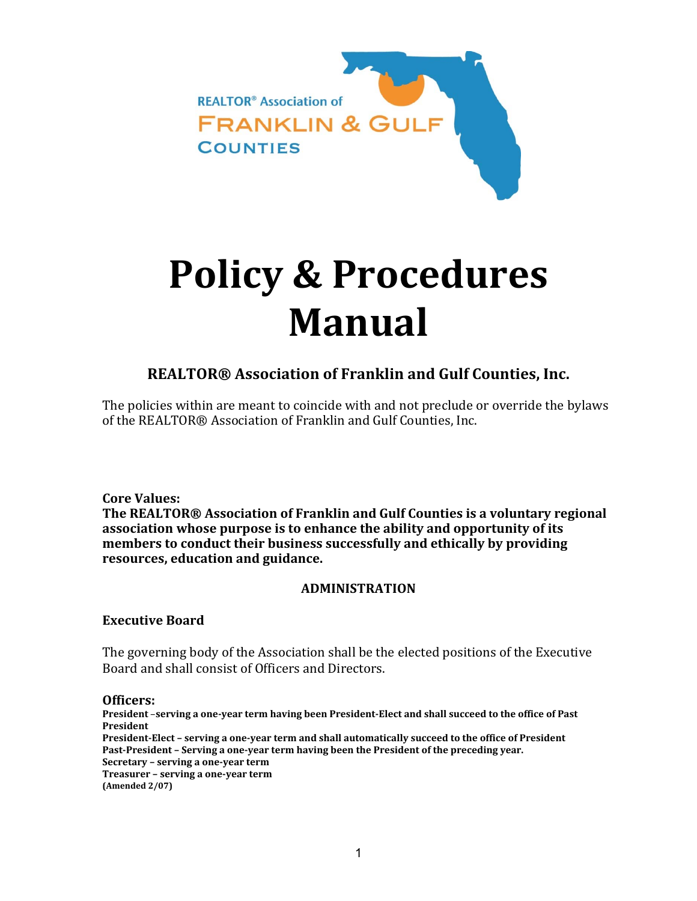

# **Policy & Procedures Manual**

## **REALTOR® Association of Franklin and Gulf Counties, Inc.**

The policies within are meant to coincide with and not preclude or override the bylaws of the REALTOR® Association of Franklin and Gulf Counties, Inc.

 **Core Values:**

 **The REALTOR® Association of Franklin and Gulf Counties is a voluntary regional association whose purpose is to enhance the ability and opportunity of its members to conduct their business successfully and ethically by providing resources, education and guidance.**

## **ADMINISTRATION**

## **Executive Board**

The governing body of the Association shall be the elected positions of the Executive Board and shall consist of Officers and Directors.

#### **Officers:**

President -serving a one-year term having been President-Elect and shall succeed to the office of Past **President**

President-Elect - serving a one-year term and shall automatically succeed to the office of President **Past‐President – Serving a one‐year term having been the President of the preceding year. Secretary – serving a one‐year term Treasurer – serving a one‐year term (Amended 2/07)**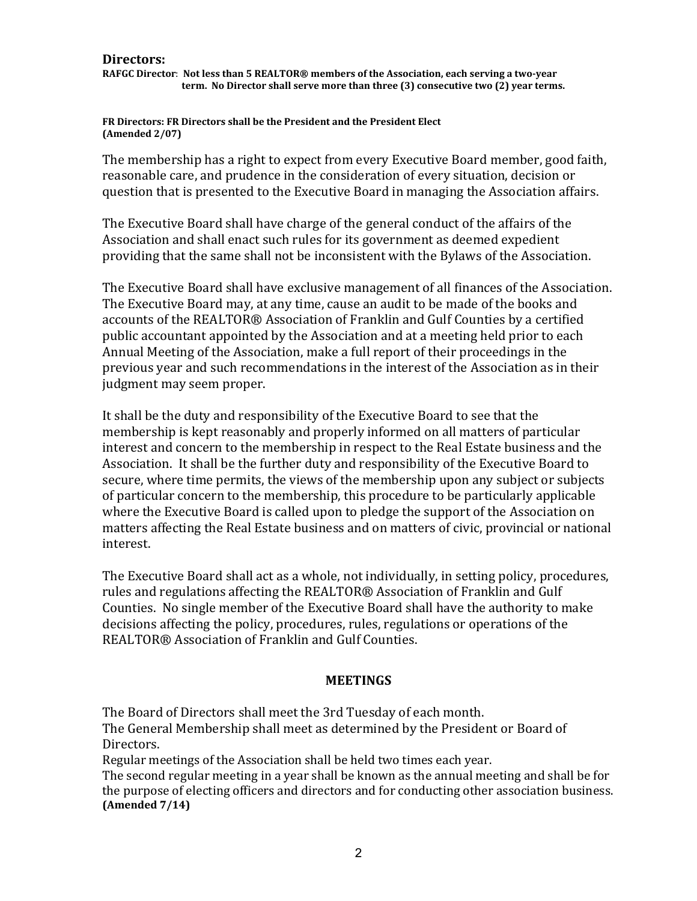#### **Directors:**

RAFGC Director: Not less than 5 REALTOR® members of the Association, each serving a two-year term. No Director shall serve more than three (3) consecutive two (2) year terms.

#### **FR Directors: FR Directors shall be the President and the President Elect (Amended 2/07)**

The membership has a right to expect from every Executive Board member, good faith, reasonable care, and prudence in the consideration of every situation, decision or question that is presented to the Executive Board in managing the Association affairs.

The Executive Board shall have charge of the general conduct of the affairs of the Association and shall enact such rules for its government as deemed expedient providing that the same shall not be inconsistent with the Bylaws of the Association.

The Executive Board shall have exclusive management of all finances of the Association. The Executive Board may, at any time, cause an audit to be made of the books and accounts of the REALTOR® Association of Franklin and Gulf Counties by a certified public accountant appointed by the Association and at a meeting held prior to each Annual Meeting of the Association, make a full report of their proceedings in the previous year and such recommendations in the interest of the Association as in their judgment may seem proper.

It shall be the duty and responsibility of the Executive Board to see that the membership is kept reasonably and properly informed on all matters of particular interest and concern to the membership in respect to the Real Estate business and the Association. It shall be the further duty and responsibility of the Executive Board to secure, where time permits, the views of the membership upon any subject or subjects of particular concern to the membership, this procedure to be particularly applicable where the Executive Board is called upon to pledge the support of the Association on matters affecting the Real Estate business and on matters of civic, provincial or national interest. 

The Executive Board shall act as a whole, not individually, in setting policy, procedures, rules and regulations affecting the REALTOR® Association of Franklin and Gulf Counties. No single member of the Executive Board shall have the authority to make decisions affecting the policy, procedures, rules, regulations or operations of the REALTOR® Association of Franklin and Gulf Counties.

## **MEETINGS**

The Board of Directors shall meet the 3rd Tuesday of each month. The General Membership shall meet as determined by the President or Board of Directors. 

Regular meetings of the Association shall be held two times each year.

The second regular meeting in a year shall be known as the annual meeting and shall be for the purpose of electing officers and directors and for conducting other association business. **(Amended 7/14)**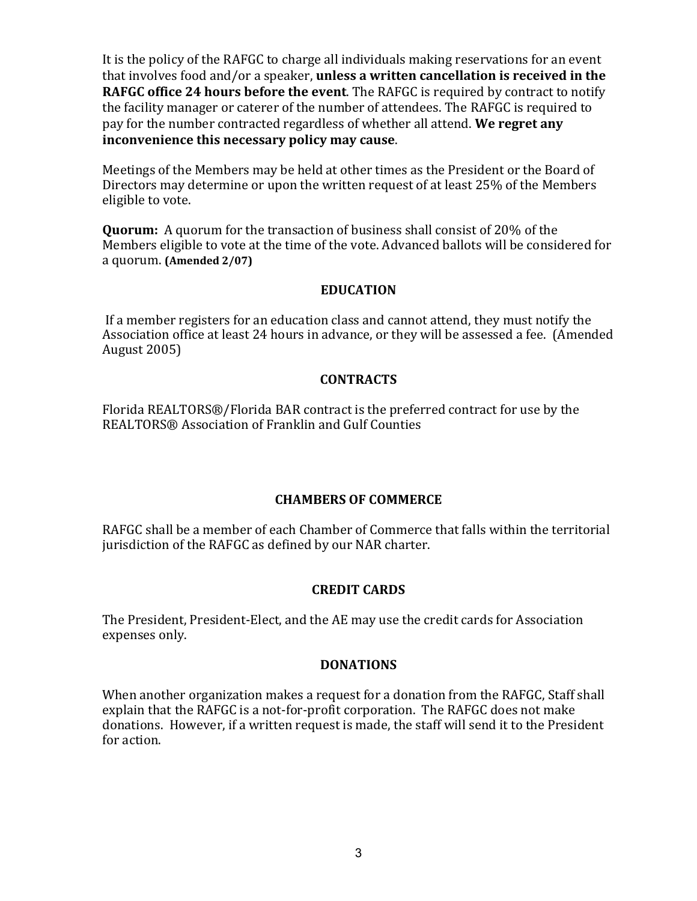**c**hat involves food and/or a speaker, **unless a written cancellation is received in the RAFGC** office 24 hours before the event. The RAFGC is required by contract to notify pay for the number contracted regardless of whether all attend. We regret any  **inconvenience this necessary policy may cause**. It is the policy of the RAFGC to charge all individuals making reservations for an event the facility manager or caterer of the number of attendees. The RAFGC is required to

Meetings of the Members may be held at other times as the President or the Board of Directors may determine or upon the written request of at least 25% of the Members eligible to vote.

 a quorum. **(Amended 2/07) Quorum:** A quorum for the transaction of business shall consist of 20% of the Members eligible to vote at the time of the vote. Advanced ballots will be considered for

## **EDUCATION**

If a member registers for an education class and cannot attend, they must notify the Association office at least 24 hours in advance, or they will be assessed a fee. (Amended August  $2005$ )

## **CONTRACTS**

Florida REALTORS®/Florida BAR contract is the preferred contract for use by the REALTORS® Association of Franklin and Gulf Counties

## **CHAMBERS OF COMMERCE**

RAFGC shall be a member of each Chamber of Commerce that falls within the territorial jurisdiction of the RAFGC as defined by our NAR charter.

## **CREDIT CARDS**

The President, President-Elect, and the AE may use the credit cards for Association expenses only.

## **DONATIONS**

When another organization makes a request for a donation from the RAFGC, Staff shall explain that the RAFGC is a not-for-profit corporation. The RAFGC does not make donations. However, if a written request is made, the staff will send it to the President for action.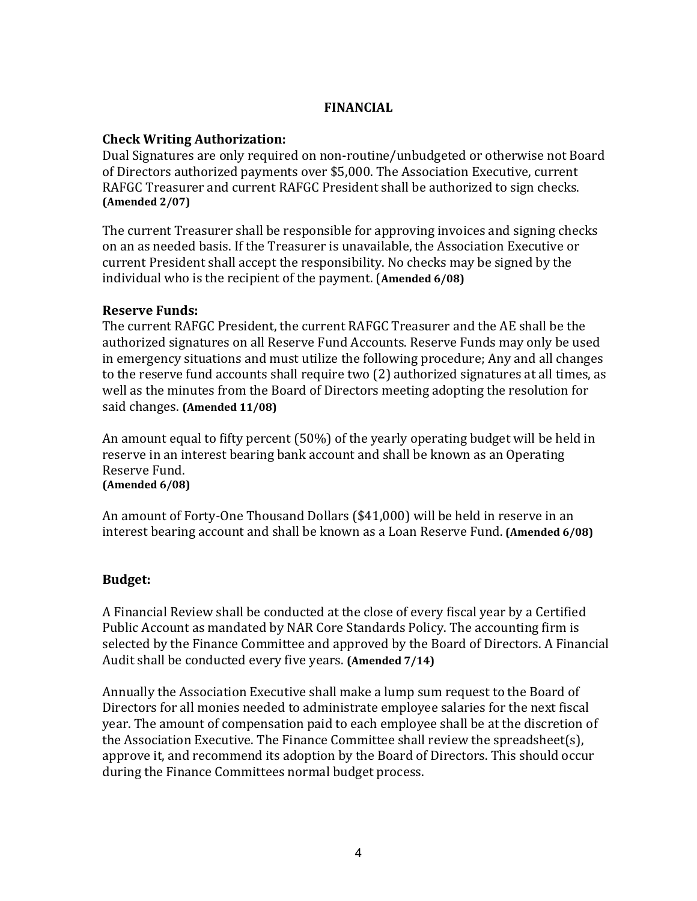## **FINANCIAL**

## **Check Writing Authorization:**

 **(Amended 2/07)** Dual Signatures are only required on non-routine/unbudgeted or otherwise not Board of Directors authorized payments over \$5,000. The Association Executive, current RAFGC Treasurer and current RAFGC President shall be authorized to sign checks.

 individual who is the recipient of the payment. (**Amended 6/08)** The current Treasurer shall be responsible for approving invoices and signing checks on an as needed basis. If the Treasurer is unavailable, the Association Executive or current President shall accept the responsibility. No checks may be signed by the

## **Reserve Funds:**

 said changes. **(Amended 11/08)** The current RAFGC President, the current RAFGC Treasurer and the AE shall be the authorized signatures on all Reserve Fund Accounts. Reserve Funds may only be used in emergency situations and must utilize the following procedure; Any and all changes to the reserve fund accounts shall require two (2) authorized signatures at all times, as well as the minutes from the Board of Directors meeting adopting the resolution for

 **(Amended 6/08)** An amount equal to fifty percent  $(50%)$  of the yearly operating budget will be held in reserve in an interest bearing bank account and shall be known as an Operating Reserve Fund.

interest bearing account and shall be known as a Loan Reserve Fund. **(Amended 6/08)** An amount of Forty-One Thousand Dollars  $(\$41,000)$  will be held in reserve in an

## **Budget:**

Audit shall be conducted every five years. **(Amended 7/14)** A Financial Review shall be conducted at the close of every fiscal year by a Certified Public Account as mandated by NAR Core Standards Policy. The accounting firm is selected by the Finance Committee and approved by the Board of Directors. A Financial

Annually the Association Executive shall make a lump sum request to the Board of Directors for all monies needed to administrate employee salaries for the next fiscal year. The amount of compensation paid to each employee shall be at the discretion of the Association Executive. The Finance Committee shall review the spreadsheet(s), approve it, and recommend its adoption by the Board of Directors. This should occur during the Finance Committees normal budget process.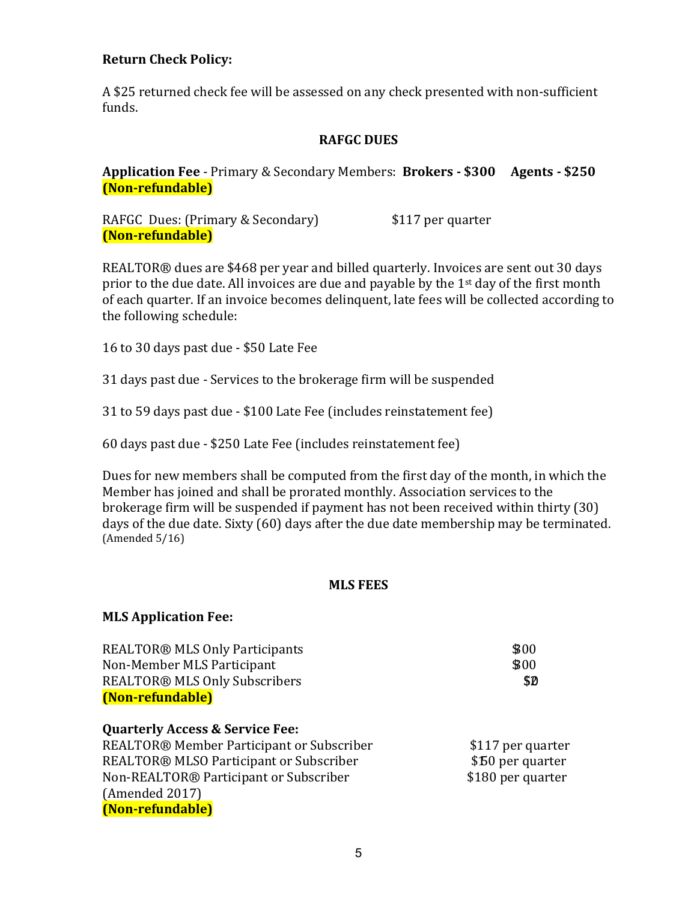## **Return Check Policy:**

A \$25 returned check fee will be assessed on any check presented with non-sufficient funds.

## **RAFGC DUES**

 **Application Fee** ‐ Primary & Secondary Members: **Brokers ‐ \$300 Agents ‐ \$250 (Non‐refundable)**

RAFGC Dues: (Primary & Secondary) \$117 per quarter **(Non‐refundable)**

REALTOR<sup>®</sup> dues are \$468 per year and billed quarterly. Invoices are sent out 30 days prior to the due date. All invoices are due and payable by the  $1<sup>st</sup>$  day of the first month of each quarter. If an invoice becomes delinquent, late fees will be collected according to the following schedule:

16 to 30 days past due - \$50 Late Fee

31 days past due - Services to the brokerage firm will be suspended

31 to 59 days past due - \$100 Late Fee (includes reinstatement fee)

60 days past due - \$250 Late Fee (includes reinstatement fee)

Dues for new members shall be computed from the first day of the month, in which the Member has joined and shall be prorated monthly. Association services to the brokerage firm will be suspended if payment has not been received within thirty  $(30)$ days of the due date. Sixty (60) days after the due date membership may be terminated.  $(Amended 5/16)$ 

## **MLS FEES**

| <b>MLS Application Fee:</b>                |                   |
|--------------------------------------------|-------------------|
| <b>REALTOR® MLS Only Participants</b>      | \$00              |
| Non-Member MLS Participant                 | \$00              |
| <b>REALTOR® MLS Only Subscribers</b>       | \$Ø               |
| (Non-refundable)                           |                   |
| <b>Quarterly Access &amp; Service Fee:</b> |                   |
| REALTOR® Member Participant or Subscriber  | \$117 per quarter |
| REALTOR® MLSO Participant or Subscriber    | \$50 per quarter  |
| Non-REALTOR® Participant or Subscriber     | \$180 per quarter |
| (Amended 2017)                             |                   |
| (Non-refundable)                           |                   |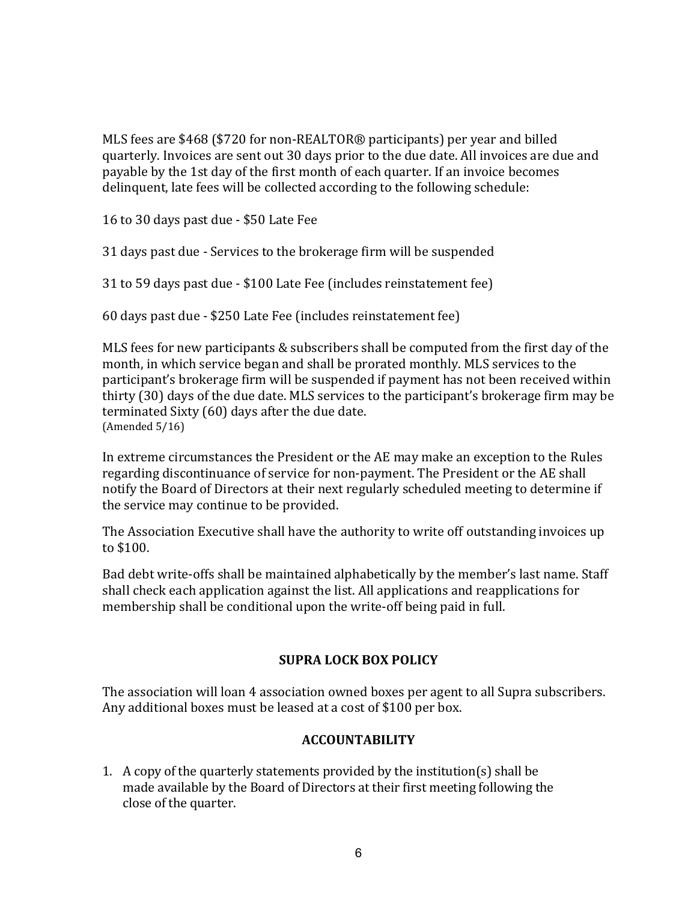MLS fees are \$468 (\$720 for non-REALTOR<sup>®</sup> participants) per year and billed quarterly. Invoices are sent out 30 days prior to the due date. All invoices are due and payable by the 1st day of the first month of each quarter. If an invoice becomes delinquent, late fees will be collected according to the following schedule:

16 to 30 days past due - \$50 Late Fee

31 days past due - Services to the brokerage firm will be suspended

31 to 59 days past due - \$100 Late Fee (includes reinstatement fee)

60 days past due - \$250 Late Fee (includes reinstatement fee)

MLS fees for new participants  $&$  subscribers shall be computed from the first day of the month, in which service began and shall be prorated monthly. MLS services to the participant's brokerage firm will be suspended if payment has not been received within thirty (30) days of the due date. MLS services to the participant's brokerage firm may be terminated Sixty (60) days after the due date.  $(Amended 5/16)$ 

In extreme circumstances the President or the AE may make an exception to the Rules regarding discontinuance of service for non-payment. The President or the AE shall notify the Board of Directors at their next regularly scheduled meeting to determine if the service may continue to be provided.

The Association Executive shall have the authority to write off outstanding invoices up to  $$100$ .

Bad debt write-offs shall be maintained alphabetically by the member's last name. Staff shall check each application against the list. All applications and reapplications for membership shall be conditional upon the write-off being paid in full.

## **SUPRA LOCK BOX POLICY**

The association will loan 4 association owned boxes per agent to all Supra subscribers. Any additional boxes must be leased at a cost of \$100 per box.

## **ACCOUNTABILITY**

1. A copy of the quarterly statements provided by the institution(s) shall be made available by the Board of Directors at their first meeting following the close of the quarter.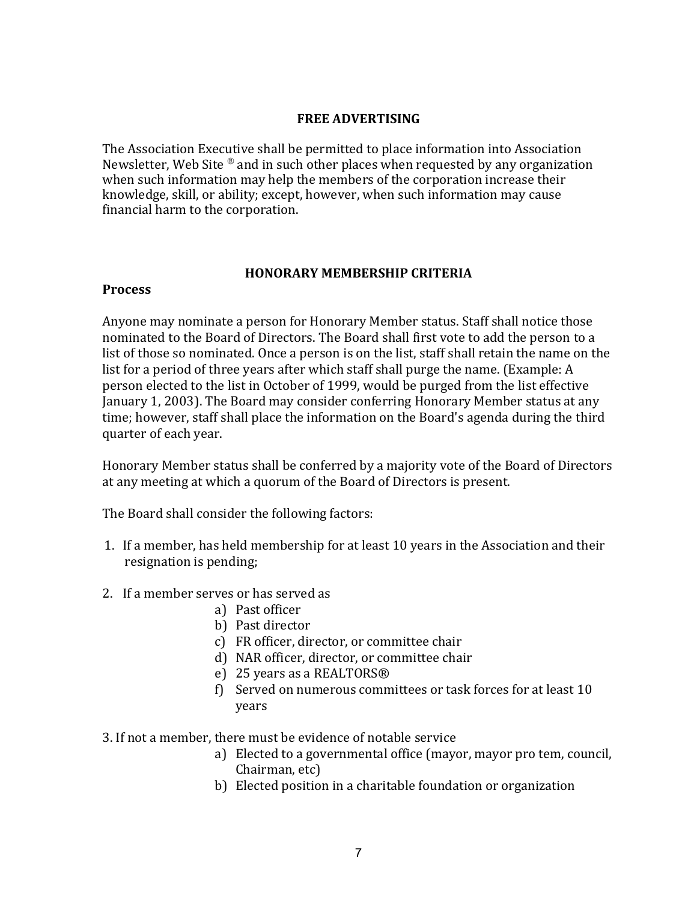## **FREE ADVERTISING**

The Association Executive shall be permitted to place information into Association Newsletter, Web Site  $\mathcal{P}$  and in such other places when requested by any organization when such information may help the members of the corporation increase their knowledge, skill, or ability; except, however, when such information may cause financial harm to the corporation.

#### **HONORARY MEMBERSHIP CRITERIA**

#### **Process**

Anyone may nominate a person for Honorary Member status. Staff shall notice those nominated to the Board of Directors. The Board shall first vote to add the person to a list of those so nominated. Once a person is on the list, staff shall retain the name on the list for a period of three years after which staff shall purge the name. (Example: A person elected to the list in October of 1999, would be purged from the list effective January 1, 2003). The Board may consider conferring Honorary Member status at any time; however, staff shall place the information on the Board's agenda during the third quarter of each year.

Honorary Member status shall be conferred by a majority vote of the Board of Directors at any meeting at which a quorum of the Board of Directors is present.

The Board shall consider the following factors:

- 1. If a member, has held membership for at least 10 years in the Association and their resignation is pending;
- 2. If a member serves or has served as
	- a) Past officer
	- b) Past director
	- c) FR officer, director, or committee chair
	- d) NAR officer, director, or committee chair
	- e) 25 years as a REALTORS<sup>®</sup>
	- f) Served on numerous committees or task forces for at least  $10$ years
- 3. If not a member, there must be evidence of notable service
	- a) Elected to a governmental office (mayor, mayor pro tem, council, Chairman, etc)
	- b) Elected position in a charitable foundation or organization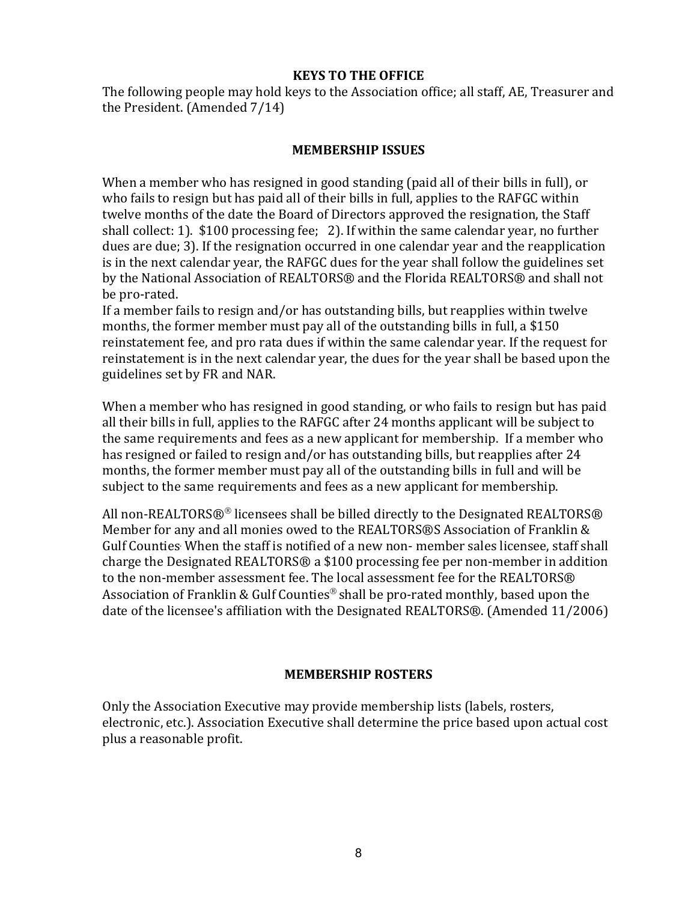## **KEYS TO THE OFFICE**

The following people may hold keys to the Association office; all staff, AE, Treasurer and the President. (Amended 7/14)

## **MEMBERSHIP ISSUES**

When a member who has resigned in good standing (paid all of their bills in full), or who fails to resign but has paid all of their bills in full, applies to the RAFGC within twelve months of the date the Board of Directors approved the resignation, the Staff shall collect: 1).  $$100$  processing fee; 2). If within the same calendar year, no further dues are due; 3). If the resignation occurred in one calendar year and the reapplication is in the next calendar year, the RAFGC dues for the year shall follow the guidelines set by the National Association of REALTORS<sup>®</sup> and the Florida REALTORS<sup>®</sup> and shall not be pro-rated.

If a member fails to resign and/or has outstanding bills, but reapplies within twelve months, the former member must pay all of the outstanding bills in full, a \$150 reinstatement fee, and pro rata dues if within the same calendar year. If the request for reinstatement is in the next calendar year, the dues for the year shall be based upon the guidelines set by FR and NAR.

When a member who has resigned in good standing, or who fails to resign but has paid all their bills in full, applies to the RAFGC after 24 months applicant will be subject to the same requirements and fees as a new applicant for membership. If a member who has resigned or failed to resign and/or has outstanding bills, but reapplies after  $24$ months, the former member must pay all of the outstanding bills in full and will be subject to the same requirements and fees as a new applicant for membership.

All non-REALTORS®® licensees shall be billed directly to the Designated REALTORS® Member for any and all monies owed to the REALTORS®S Association of Franklin & Gulf Counties When the staff is notified of a new non- member sales licensee, staff shall charge the Designated REALTORS® a \$100 processing fee per non-member in addition to the non-member assessment fee. The local assessment fee for the REALTORS® Association of Franklin & Gulf Counties<sup>®</sup> shall be pro-rated monthly, based upon the date of the licensee's affiliation with the Designated REALTORS®. (Amended 11/2006)

## **MEMBERSHIP ROSTERS**

Only the Association Executive may provide membership lists (labels, rosters, electronic, etc.). Association Executive shall determine the price based upon actual cost plus a reasonable profit.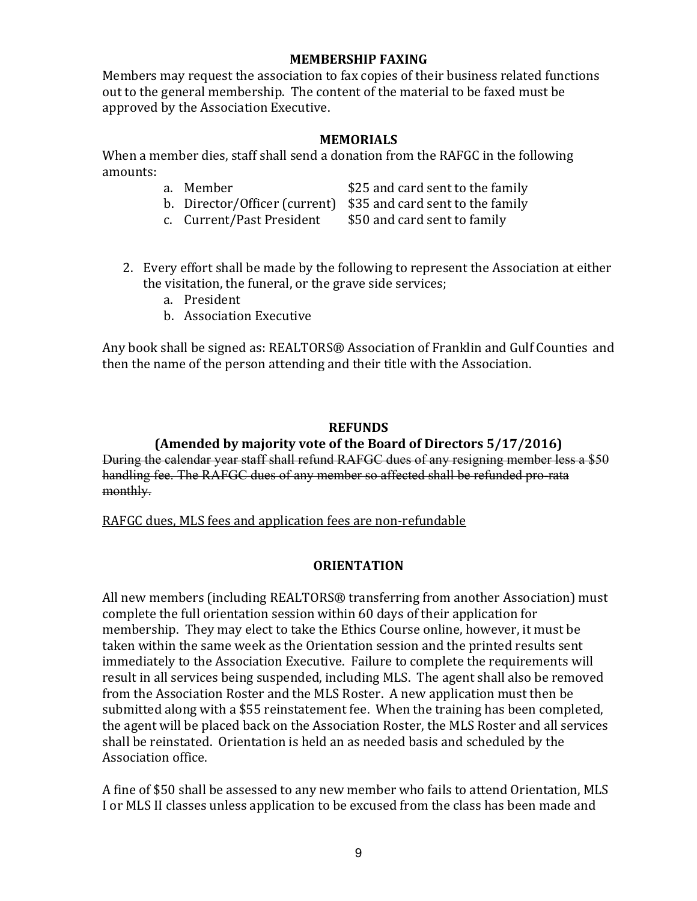## **MEMBERSHIP FAXING**

Members may request the association to fax copies of their business related functions out to the general membership. The content of the material to be faxed must be approved by the Association Executive.

## **MEMORIALS**

When a member dies, staff shall send a donation from the RAFGC in the following amounts: 

- a. Member  $$25$  and card sent to the family
- b. Director/Officer (current) \$35 and card sent to the family
- c. Current/Past President \$50 and card sent to family
- 2. Every effort shall be made by the following to represent the Association at either the visitation, the funeral, or the grave side services;
	- a. President
	- b. Association Executive

Any book shall be signed as: REALTORS<sup>®</sup> Association of Franklin and Gulf Counties and then the name of the person attending and their title with the Association.

## **REFUNDS**

## **(Amended by majority vote of the Board of Directors 5/17/2016)**

During the calendar year staff shall refund RAFGC dues of any resigning member less a \$50 handling fee. The RAFGC dues of any member so affected shall be refunded pro-rata monthly.

RAFGC dues, MLS fees and application fees are non-refundable

## **ORIENTATION**

All new members (including REALTORS<sup>®</sup> transferring from another Association) must complete the full orientation session within 60 days of their application for membership. They may elect to take the Ethics Course online, however, it must be taken within the same week as the Orientation session and the printed results sent immediately to the Association Executive. Failure to complete the requirements will result in all services being suspended, including MLS. The agent shall also be removed from the Association Roster and the MLS Roster. A new application must then be submitted along with a \$55 reinstatement fee. When the training has been completed, the agent will be placed back on the Association Roster, the MLS Roster and all services shall be reinstated. Orientation is held an as needed basis and scheduled by the Association office.

A fine of \$50 shall be assessed to any new member who fails to attend Orientation, MLS I or MLS II classes unless application to be excused from the class has been made and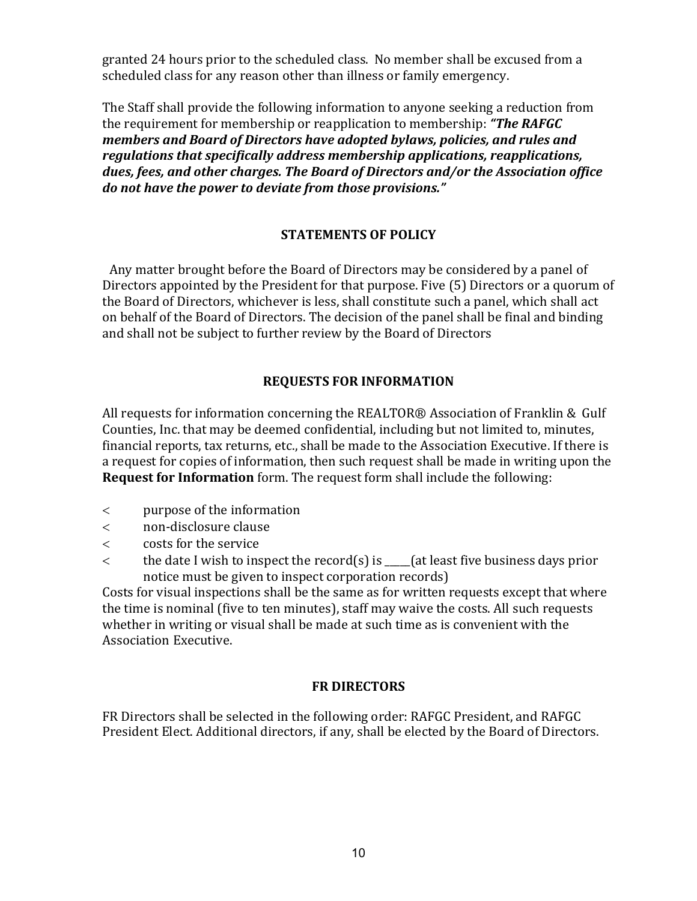scheduled class for any reason other than illness or family emergency. granted 24 hours prior to the scheduled class. No member shall be excused from a

the requirement for membership or reapplication to membership: "The RAFGC  *members and Board of Directors have adopted bylaws, policies, and rules and regulations that specifically address membership applications, reapplications, dues, fees, and other charges. The Board of Directors and/or the Association office do not have the power to deviate from those provisions."* The Staff shall provide the following information to anyone seeking a reduction from

## **STATEMENTS OF POLICY**

Any matter brought before the Board of Directors may be considered by a panel of Directors appointed by the President for that purpose. Five (5) Directors or a quorum of the Board of Directors, whichever is less, shall constitute such a panel, which shall act on behalf of the Board of Directors. The decision of the panel shall be final and binding and shall not be subject to further review by the Board of Directors

## **REQUESTS FOR INFORMATION**

All requests for information concerning the REALTOR® Association of Franklin & Gulf Counties, Inc. that may be deemed confidential, including but not limited to, minutes, financial reports, tax returns, etc., shall be made to the Association Executive. If there is a request for copies of information, then such request shall be made in writing upon the **Request for Information** form. The request form shall include the following:

- $\lt$  purpose of the information
- non‐disclosure clause
- $\lt$  costs for the service
- $\lt$  the date I wish to inspect the record(s) is (at least five business days prior notice must be given to inspect corporation records)

Costs for visual inspections shall be the same as for written requests except that where the time is nominal (five to ten minutes), staff may waive the costs. All such requests whether in writing or visual shall be made at such time as is convenient with the Association Executive. 

## **FR DIRECTORS**

FR Directors shall be selected in the following order: RAFGC President, and RAFGC President Elect. Additional directors, if any, shall be elected by the Board of Directors.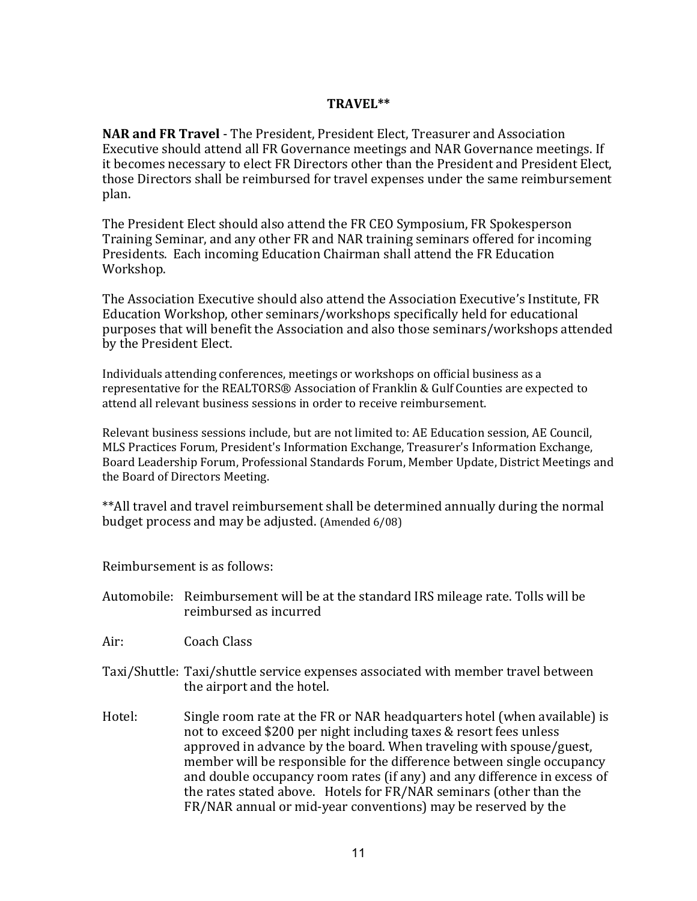#### **TRAVEL\*\***

**NAR and FR Travel** - The President, President Elect, Treasurer and Association Executive should attend all FR Governance meetings and NAR Governance meetings. If it becomes necessary to elect FR Directors other than the President and President Elect, those Directors shall be reimbursed for travel expenses under the same reimbursement plan. 

The President Elect should also attend the FR CEO Symposium, FR Spokesperson Training Seminar, and any other FR and NAR training seminars offered for incoming Presidents. Each incoming Education Chairman shall attend the FR Education Workshop.

The Association Executive should also attend the Association Executive's Institute, FR Education Workshop, other seminars/workshops specifically held for educational purposes that will benefit the Association and also those seminars/workshops attended by the President Elect.

Individuals attending conferences, meetings or workshops on official business as a representative for the REALTORS® Association of Franklin & Gulf Counties are expected to attend all relevant business sessions in order to receive reimbursement.

Relevant business sessions include, but are not limited to: AE Education session, AE Council, MLS Practices Forum, President's Information Exchange, Treasurer's Information Exchange, Board Leadership Forum, Professional Standards Forum, Member Update, District Meetings and the Board of Directors Meeting.

\*\*All travel and travel reimbursement shall be determined annually during the normal budget process and may be adjusted. (Amended 6/08)

Reimbursement is as follows:

- Automobile: Reimbursement will be at the standard IRS mileage rate. Tolls will be reimbursed as incurred
- Air: Coach Class
- Taxi/Shuttle: Taxi/shuttle service expenses associated with member travel between the airport and the hotel.
- Hotel: Single room rate at the FR or NAR headquarters hotel (when available) is not to exceed \$200 per night including taxes & resort fees unless approved in advance by the board. When traveling with spouse/guest, member will be responsible for the difference between single occupancy and double occupancy room rates (if any) and any difference in excess of the rates stated above. Hotels for FR/NAR seminars (other than the FR/NAR annual or mid-year conventions) may be reserved by the